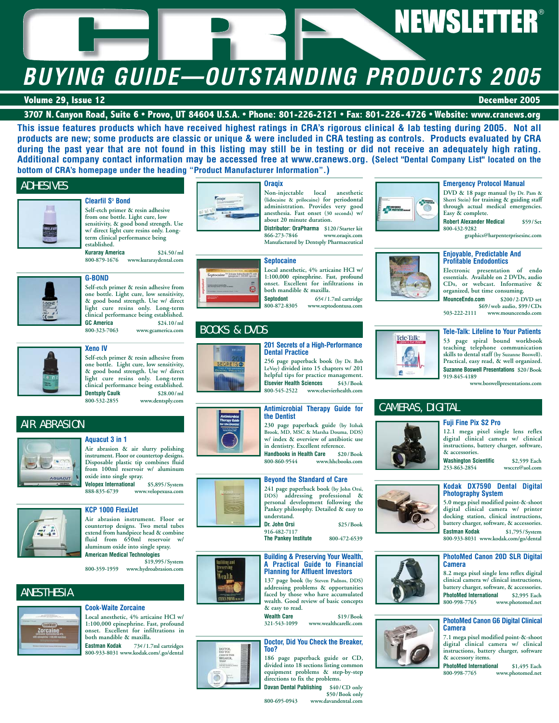# **NEWSLETTER®**

# **BUYING GUIDE—OUTSTANDING PRODUCTS 2005**

# **Volume 29, Issue 12 December 2005**

# **3707 N. Canyon Road, Suite 6 • Provo, UT 84604 U.S.A. • Phone: 801-226-2121 • Fax: 801-226-4726 • Website: www.cranews.org**

**This issue features products which have received highest ratings in CRA's rigorous clinical & lab testing during 2005. Not all products are new; some products are classic or unique & were included in CRA testing as controls. Products evaluated by CRA during the past year that are not found in this listing may still be in testing or did not receive an adequately high rating. Additional company contact information may be accessed free at www.cranews.org. (Select "Dental Company List" located on the bottom of CRA's homepage under the heading "Product Manufacturer Information".)**

# ADHESIVES





### **Clearfil S3 Bond Self-etch primer & resin adhesive from one bottle. Light cure, low**



**800-879-1676 www.kuraraydental.com**

# **G-BOND**

**Self-etch primer & resin adhesive from one bottle. Light cure, low sensitivity, & good bond strength. Use w/ direct light cure resins only. Long-term clinical performance being established. GC America** \$24.10/ml<br>800-323-7063 www.gcamerica.com **800-323-7063 www.gcamerica.com**



# **Xeno IV**

**Self-etch primer & resin adhesive from one bottle. Light cure, low sensitivity, & good bond strength. Use w/ direct light cure resins only. Long-term clinical performance being established. Dentsply Caulk 800-532-2855 800-532-2855 www.dentsply.com**

AIR ABRASION

# **Aquacut 3 in 1**



**Air abrasion & air slurry polishing instrument. Floor or countertop designs. Disposable plastic tip combines fluid from 100ml reservoir w/ aluminum oxide into single spray.**

**Velopex International \$5,895/System 888-835-6739 www.velopexusa.com**



# **KCP 1000 FlexiJet**

**Air abrasion instrument. Floor or countertop designs. Two metal tubes extend from handpiece head & combine fluid from 650ml reservoir w/ aluminum oxide into single spray. American Medical Technologies**

**\$19,995/System 800-359-1959 www.hydroabrasion.com**

# ANESTHESIA



# **Cook-Waite Zorcaine**

**Local anesthetic, 4% articaine HCl w/ 1:100,000 epinephrine. Fast, profound onset. Excellent for infiltrations in both mandible & maxilla.**

**Eastman Kodak 73¢/1.7ml cartridges 800-933-8031 www.kodak.com/.go/dental**

# **Oraqix**



**Non-injectable local anesthetic (lidocaine & prilocaine) for periodontal administration. Provides very good anesthesia. Fast onset (30 seconds) w/ about 20 minute duration.**

**Distributor: OraPharma \$120/Starter kit 866-273-7846 www.oraqix.com Manufactured by Dentsply Pharmaceutical**

### **Septocaine**

**Dental Practice**

**Local anesthetic, 4% articaine HCl w/ 1:100,000 epinephrine. Fast, profound onset. Excellent for infiltrations in both mandible & maxilla. Septodont 65¢/1.7ml cartridge**<br>800-872-8305 **www.septodontusa.com** 

**201 Secrets of a High-Performance**

**800-872-8305 www.septodontusa.com**

# BOOKS & DVDS



### **256 page paperback book (by Dr. Bob LeVoy) divided into 15 chapters w/ 201 helpful tips for practice management. Elsevier Health Sciences** \$43/Book<br>800-545-2522 www.elsevierhealth.com **800-545-2522 www.elsevierhealth.com**



**230 page paperback guide (by Itzhak Brook, MD, MSC & Marsha Douma, DDS) w/ index & overview of antibiotic use in dentistry. Excellent reference. Handbooks in Health Care \$20/Book**

**800-860-9544 www.hhcbooks.com**

**241 page paperback book (by John Orsi, DDS) addressing professional & personal development following the Pankey philosophy. Detailed & easy to understand.**



**137 page book (by Steven Padnos, DDS) addressing problems & opportunities faced by those who have accumulated wealth. Good review of basic concepts**

**& easy to read. Wealth Care \$19/Book 321-543-1099 www.wealthcarellc.com**

# **Doctor, Did You Check the Breaker, Too?**

**186 page paperback guide or CD, divided into 18 sections listing common equipment problems & step-by-step directions to fix the problems.**



**800-695-0943 www.davandental.com**



# **Emergency Protocol Manual**

**DVD & 18 page manual (by Dr. Pam & Sherri Stein) for training & guiding staff through actual medical emergencies. Easy & complete.**

**Robert Alexander Medical \$59/Set 800-432-9282**

**graphics@harpenterprisesinc.com**

# **Enjoyable, Predictable And Profitable Endodontics**

**Electronic presentation of endo essentials. Available on 2 DVDs, audio CDs, or webcast. Informative & organized, but time consuming.**

**MounceEndo.com \$200/2-DVD set \$69/web audio, \$99/CDs**<br>503-222-2111 www.mounceendo.com **503-222-2111 www.mounceendo.com**

# **Tele-Talk: Lifeline to Your Patients**

**53 page spiral bound workbook teaching telephone communication skills to dental staff (by Suzanne Boswell). Practical, easy read, & well organized. Suzanne Boswell Presentations \$20/Book 919-845-4189**

**www.boswellpresentations.com**

# CAMERAS, DIGITAL

Tele-Talk:

 $\bullet$ 



**12.1 mega pixel single lens reflex digital clinical camera w/ clinical instructions, battery charger, software,**

**& accessories. Washington Scientific** \$2,599 Each<br>253-863-2854 wsccrz@aol.com **253-863-2854 wsccrz@aol.com**

# **Kodak DX7590 Dental Digital Photography System**

**5.0 mega pixel modified point-&-shoot digital clinical camera w/ printer docking station, clinical instructions, battery charger, software, & accessories.**<br>**Eastman Kodak** \$1.795/System **Eastman Kodak \$1,795/System 800-933-8031 www.kodak.com/go/dental**

### **PhotoMed Canon 20D SLR Digital Camera**

**8.2 mega pixel single lens reflex digital clinical camera w/ clinical instructions, battery charger, software, & accessories. PhotoMed International \$2,995 Each 800-998-7765 www.photomed.net**

### **PhotoMed Canon G6 Digital Clinical Camera**

**7.1 mega pixel modified point-&-shoot digital clinical camera w/ clinical instructions, battery charger, software & accessory items.**

**PhotoMed International \$1,495 Each** www.photomed.net









**The Pankey Institute 800-472-6539**



# **Building & Preserving Your Wealth,**









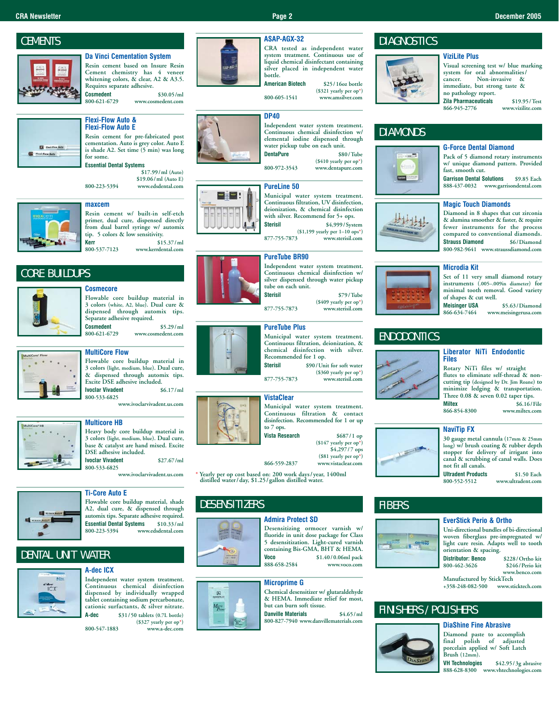# **CEMENTS**



**Da Vinci Cementation System Resin cement based on Insure Resin Cement chemistry has 4 veneer whitening colors, & clear, A2 & A3.5. Requires separate adhesive. Cosmedent** \$30.05/ml<br>800-621-6729 www.cosmedent.com **800-621-6729 www.cosmedent.com**



# **Flexi-Flow Auto & Flexi-Flow Auto E**

**Resin cement for pre-fabricated post cementation. Auto is grey color. Auto E is shade A2. Set time (5 min) was long for some.**

# **Essential Dental Systems**

**\$17.99/ml (Auto) \$19.06/ml (Auto E) 800-223-5394 www.edsdental.com**





**Resin cement w/ built-in self-etch primer, dual cure, dispensed directly from dual barrel syringe w/ automix tip. 5 colors & low sensitivity. Kerr** \$15.37/ml<br>800-537-7123 www.kerrdental.com **800-537-7123 www.kerrdental.com**

CORE BUILDUPS



# **Flowable core buildup material in 3 colors (white, A2, blue). Dual cure &**

**Cosmecore**

**dispensed through automix tips. Separate adhesive required. Cosmedent** \$5.29/ml<br>800-621-6729 www.cosmedent.com **800-621-6729 www.cosmedent.com**

# **MultiCore Flow**

**Flowable core buildup material in 3 colors (light, medium, blue). Dual cure, & dispensed through automix tips. Excite DSE adhesive included.**<br>**Ivoclar Vivadent** \$6.17/ml **Ivoclar Vivadent** 

**800-533-6825 www.ivoclarvivadent.us.com**



# **Multicore HB**

**Heavy body core buildup material in 3 colors (light, medium, blue). Dual cure, base & catalyst are hand mixed. Excite DSE adhesive included. Ivoclar Vivadent \$27.67/ml 800-533-6825**

**www.ivoclarvivadent.us.com**



# **Ti-Core Auto E**

**Flowable core buildup material, shade A2, dual cure, & dispensed through automix tips. Separate adhesive required. Essential Dental Systems \$10.33/ml 800-223-5394 www.edsdental.com**

# DENTAL UNIT WATER



# **A-dec ICX**

**Independent water system treatment. Continuous chemical disinfection dispensed by individually wrapped tablet containing sodium percarbonate, cationic surfactants, & silver nitrate. A-dec \$31/50 tablets (0.7L bottle) (\$327 yearly per op\*) 800-547-1883 www.a-dec.com**



### **CRA tested as independent water system treatment. Continuous use of liquid chemical disinfectant containing silver placed in independent water bottle. American Biotech \$25/16oz bottle**

**(\$321 yearly per op\*) 800-605-1541 www.amsilver.com**

# **DP40**

**Independent water system treatment. Continuous chemical disinfection w/ elemental iodine dispensed through water pickup tube on each unit. DentaPure \$80/Tube**

**(\$410 yearly per op\*)**

**Municipal water system treatment. Continuous filtration, UV disinfection, deionization, & chemical disinfection** with silver. Recommend for 5+ ops.<br>**Sterisil** \$4.999/System **Sterisil \$4,999/System (\$1,199 yearly per 1–10 ops\*) 877-755-7873 www.sterisil.com**

**Independent water system treatment. Continuous chemical disinfection w/ silver dispensed through water pickup Sterisil \$79/Tube (\$409 yearly per op\*)**

# **PureTube Plus**

**Municipal water system treatment. Continuous filtration, deionization, & chemical disinfection with silver. Recommended for 1 op. Sterisil \$90/Unit for soft water** 

**(\$360 yearly per op\*) 877-755-7873 www.sterisil.com**

# **VistaClear**



**Continuous filtration & contact disinfection. Recommended for 1 or up Vista Research \$687/1 op (\$147 yearly per op\*) \$4,297/7 ops** 

**(\$81 yearly per op\*) 866-559-2837 www.vistaclear.com**

**\* Yearly per op cost based on: 200 work days/year, 1400ml distilled water/day, \$1.25/gallon distilled water.**

# **DESENSITIZERS**

 $M_{\overline{p}^{\text{res}}}$ 

**Admira Protect SD Desensitizing ormocer varnish w/ fluoride in unit dose package for Class 5 desensitization. Light-cured varnish containing Bis-GMA, BHT & HEMA.**<br>Voca \$1.40/0.06ml pack **Voco \$1.40/0.06ml pack 888-658-2584 www.voco.com**

# **Microprime G**



**800-827-7940 www.danvillematerials.com**

# **DIAGNOSTICS**



# **ViziLite Plus**

**Visual screening test w/ blue marking system for oral abnormalities/ cancer. Non-invasive & immediate, but strong taste & no pathology report. Zila Pharmaceuticals** \$19.95/Test<br>866-945-2776 www.vizilite.com **866-945-2776 www.vizilite.com**

# **DIAMONDS**





**Pack of 5 diamond rotary instruments w/ unique diamond pattern. Provided fast, smooth cut.**

**Garrison Dental Solutions \$9.85 Each 888-437-0032 www.garrisondental.com**

# **Magic Touch Diamonds**

**Diamond in 8 shapes that cut zirconia & alumina smoother & faster, & require fewer instruments for the process compared to conventional diamonds. Strauss Diamond 800-982-9641 www.straussdiamond.com**

### **Microdia Kit**



**Meisinger USA** \$5.63/Diamond<br>866-634-7464 www.meisingerusa.com **866-634-7464 www.meisingerusa.com**

# ENDODONTICS



# **Liberator NiTi Endodontic Files Rotary NiTi files w/ straight**

**flutes to eliminate self-thread & noncutting tip (designed by Dr. Jim Roane) to minimize ledging & transportation. Three 0.08 & seven 0.02 taper tips. Miltex** \$6.16/File<br>866-854-8300 www.miltex.com **866-854-8300 www.miltex.com**

### **NaviTip FX**



**canal & scrubbing of canal walls. Does Ultradent Products** \$1.50 Each<br>800-552-5512 www.ultradent.com **800-552-5512 www.ultradent.com**

# **FIBERS**



**Uni-directional bundles of bi-directional woven fiberglass pre-impregnated w/ light cure resin. Adapts well to tooth orientation & spacing. Distributor: Benco \$228/Ortho kit 800-462-3626 \$246/Perio kit** 

**800-462-3626 \$246/Perio kit www.benco.com**

**Manufactured by StickTech +358-248-082-500** 

# FINISHERS / POLISHERS

**DiaShine Fine Abrasive Diamond paste to accomplish final polish of adjusted porcelain applied w/ Soft Latch Brush (12mm).**

**VH Technologies \$42.95/3g abrasive 888-628-8300 www.vhtechnologies.com**





# **ASAP-AGX-32**



**PureTube BR90**

tube on each unit.<br>Sterisil **877-755-7873 www.sterisil.com**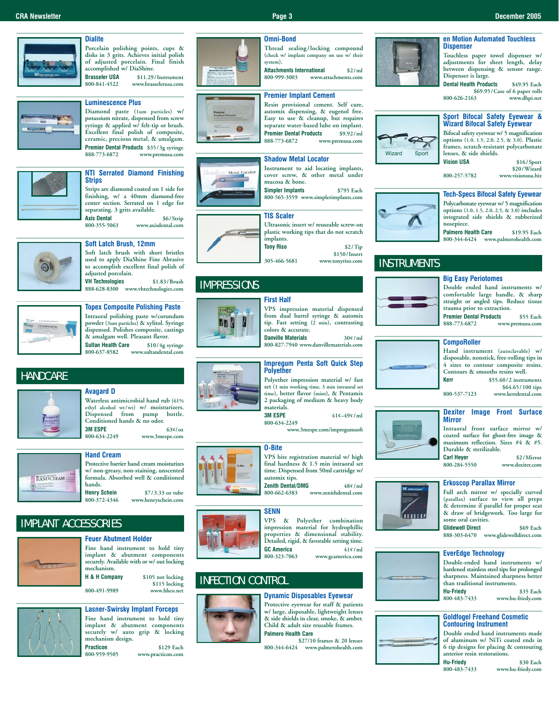# **Dialite**

**Porcelain polishing points, cups & disks in 3 grits. Achieves initial polish of adjusted porcelain. Final finish accomplished w/ DiaShine.**

**Brasseler USA** \$11.29/Instrument<br>800-841-4522 www.brasselerusa.com **800-841-4522 www.brasselerusa.com**

# **Luminescence Plus**

**Diamond paste (1um particles) w/ potassium nitrate, dispensed from screw syringe & applied w/ felt-tip or brush. Excellent final polish of composite, ceramic, precious metal, & amalgam. Premier Dental Products** \$35/3g syringe<br>888-773-6872 www.premusa.com **888-773-6872 www.premusa.com**



### **NTI Serrated Diamond Finishing Strips Strips are diamond coated on 1 side for**

**finishing, w/ a 40mm diamond-free center section. Serrated on 1 edge for separating. 3 grits available.**

**Axis Dental** \$6/Strip<br>800-355-5063 www.axisdental.com **800-355-5063 www.axisdental.com**

### **Soft Latch Brush, 12mm**



**Soft latch brush with short bristles used to apply DiaShine Fine Abrasive to accomplish excellent final polish of adjusted porcelain. VH Technologies \$1.83/Brush**

**888-628-8300 www.vhtechnologies.com**



# **Topex Composite Polishing Paste Intraoral polishing paste w/corundum powder (3um particles) & xylitol. Syringe dispensed. Polishes composite, castings**

**& amalgam well. Pleasant flavor. Sultan Health Care**<br>800-637-8582 w **800-637-8582 www.sultandental.com**

# **HANDCARE**



# **Avagard D**

**Waterless antimicrobial hand rub (61% ethyl alcohol wt/wt) w/ moisturizers.** pump bottle. **Conditioned hands & no odor. 3M ESPE** 63¢/oz<br>800-634-2249 www.3mespe.com **800-634-2249 www.3mespe.com**





**Henry Schein** \$7/3.33 oz tube<br>800-372-4346 www.henryschein.com **800-372-4346 www.henryschein.com**

# IMPLANT ACCESSORIES



**Feuer Abutment Holder Fine hand instrument to hold tiny implant & abutment components securely. Available with or w/ out locking** mechanism.<br>**H & H Comnany** \$105 not locking **\$115 locking**

**800-491-9989 www.hhco.net**



**Lasner-Swirsky Implant Forceps Fine hand instrument to hold tiny implant & abutment components securely w/ auto grip & locking mechanism design. Practicon** \$129 Each<br>800-959-9505 www.practicon.com **800-959-9505 www.practicon.com**



# **(check w/ implant company on use w/ their system). Attachments International** \$2/ml<br>800-999-3003 www.attachments.com **800-999-3003 www.attachments.com**

**Thread sealing/locking compound**

# **Premier Implant Cement**

**Omni-Bond**

**Resin provisional cement. Self cure, automix dispensing, & eugenol free. Easy to use & cleanup, but requires separate water-based lube on implant. Premier Dental Products** \$9.92/ml<br>888-773-6872 www.premusa.com **888-773-6872 www.premusa.com**

### **Shadow Metal Locator**

Metal Locat **mucosa & bone.**

**800-565-3559 www.simplerimplants.com**



**\$150/Insert 305-466-5681 www.tonyriso.com**

# IMPRESSIONS



**VPS impression material dispensed from dual barrel syringe & automix tip. Fast setting (2 min), contrasting**

**colors & accurate. Danville Materials 30¢/ml 800-827-7940 www.danvillematerials.com**



**Polyether impression material w/ fast set (1 min working time, 3 min intraoral set time), better flavor (mint), & Pentamix 2 packaging of medium & heavy body** materials.<br>**3M ESPE** 

**3M ESPE 41¢–49¢/ml**

**www.3mespe.com/impregumsoft**

# **O-Bite**

**800-634-2249**



**VPS bite registration material w/ high final hardness & 1.5 min intraoral set time. Dispensed from 50ml cartridge w/ automix tips.**

**Zenith Dental/DMG** 48¢/ml<br>800-662-6383 www.zenithdental.com **800-662-6383 www.zenithdental.com**



**VPS & Polyether combination impression material for hydrophillic properties & dimensional stability. Detailed, rigid, & favorable setting time. GC America**  $41¢$ /ml<br>800-323-7063 www.gcamerica.com **800-323-7063 www.gcamerica.com**

# INFECTION CONTROL



**Dynamic Disposables Eyewear Protective eyewear for staff & patients w/ large, disposable, lightweight lenses & side shields in clear, smoke, & amber. Child & adult size reusable frames. Palmero Health Care**

**\$27/10 frames & 20 lenses 800-344-6424 www.palmerohealth.com**



# **en Motion Automated Touchless Dispenser**

**Touchless paper towel dispenser w/ adjustments for sheet length, delay between dispensing & sensor range. Dispenser is large.**

**Dental Health Products \$49.95 Each \$69.95/Case of 6 paper rolls**<br>800-626-2163 www.dhpi.net **800-626-2163 www.dhpi.net**



**Bifocal safety eyewear w/ 5 magnification options (1.0, 1.5, 2.0, 2.5, & 3.0). Plastic frames, scratch-resistant polycarbonate lenses, & side shields. Vision USA \$16/Sport**

**\$20/Wizard 800-257-5782 www.visionusa.biz**

### **Tech-Specs Bifocal Safety Eyewear Polycarbonate eyewear w/ 5 magnification**

**options (1.0, 1.5, 2.0, 2.5, & 3.0) includes integrated side shields & rubberized nosepiece.**

**Palmero Health Care \$19.95 Each 800-344-6424 www.palmerohealth.com**

# **INSTRUMENTS**



# **Big Easy Periotomes**

**Double ended hand instruments w/ comfortable large handle, & sharp straight or angled tips. Reduce tissue trauma prior to extraction. Premier Dental Products** \$55 Each<br>888-773-6872 www.premusa.com **888-773-6872 www.premusa.com**

# **CompoRoller**

**Hand instrument (autoclavable) w/ disposable, nonstick, free-rolling tips in 4 sizes to contour composite resins. Contours & smooths resins well. Kerr \$55.60/2 instruments**

**\$64.65/100 tips 800-537-7123 www.kerrdental.com**

### **Dexiter Image Front Surface Mirror**

**Intraoral front surface mirror w/ coated surface for ghost-free image & maximum reflection. Sizes #4 & #5. Durable & sterilizable.**

**Carl Heyer** \$2/Mirror \$00-284-5550 www.dexiter.com **800-284-5550 www.dexiter.com**

### **Erkoscop Parallax Mirror**



**Full arch mirror w/ specially curved (parallax) surface to view all preps & determine if parallel for proper seat & draw of bridgework. Too large for some oral cavities. Glidewell Direct \$69 Each 888-303-6470 www.glidewelldirect.com**

**EverEdge Technology**

**Double-ended hand instruments w/ hardened stainless steel tips for prolonged sharpness. Maintained sharpness better than traditional instruments. Hu-Friedy \$35 Each 800-483-7433 www.hu-friedy.com**

# **Goldfogel Freehand Cosmetic Contouring Instrument**

**Double ended hand instruments made of aluminum w/ NiTi coated ends in 6 tip designs for placing & contouring anterior resin restorations.**

**Hu-Friedy \$30 Each 800-483-7433 www.hu-friedy.com**





**Instrument to aid locating implants, cover screw, & other metal under Simpler Implants \$795 Each**





**Sport Bifocal Safety Eyewear & Wizard Bifocal Safety Eyewear**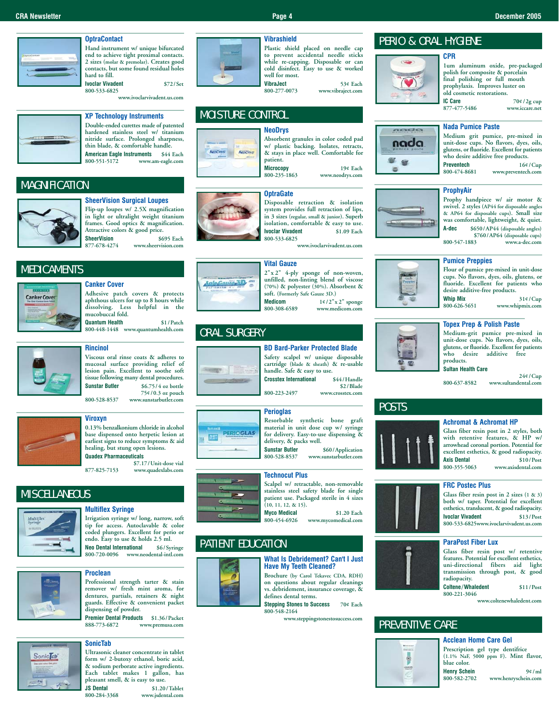# **OptraContact**

**Hand instrument w/ unique bifurcated**

**end to achieve tight proximal contacts. 2 sizes (molar & premolar). Creates good contacts, but some found residual holes**

**hard to fill. Ivoclar Vivadent \$72/Set 800-533-6825**

**www.ivoclarvivadent.us.com**



# **XP Technology Instruments Double-ended curettes made of patented**

**hardened stainless steel w/ titanium nitride surface. Prolonged sharpness, thin blade, & comfortable handle. American Eagle Instruments** \$44 Each<br>800-551-5172 www.am-eagle.com **800-551-5172 www.am-eagle.com**

# **MAGNIFICATION**



**MEDICAMENTS** 

**Canker Cover** 

### **SheerVision Surgical Loupes Flip-up loupes w/ 2.5X magnification in light or ultralight weight titanium**

**frames. Good optics & magnification. Attractive colors & good price. SheerVision** \$695 Each<br>877-678-4274 www.sheervision.com

**Adhesive patch covers & protects aphthous ulcers for up to 8 hours while dissolving. Less helpful in the mucobuccal fold. Quantum Health \$1/Patch 800-448-1448 www.quantumhealth.com**

**877-678-4274 www.sheervision.com**



# **while re-capping. Disposable or can cold disinfect. Easy to use & worked well for most. VibraJect** 53¢ Each<br>800-277-0073 www.vibraject.com

**Vibrashield**

**NeoDrys**

**Absorbent granules in color coded pad**

**800-277-0073 www.vibraject.com**

**800-235-1863 www.neodrys.com**

# nada nada est.

**Medium grit pumice, pre-mixed in unit-dose cups. No flavors, dyes, oils, glutens, or fluoride. Excellent for patients** who desire additive free products.<br>**Preventech** 16<sup>¢</sup>

# **ProphyAir**



 $\blacksquare$ 

**Prophy handpiece w/ air motor & swivel. 2 styles (AP44 for disposable angles & AP64 for disposable cups). Small size was comfortable, lightweight, & quiet.** 

### **Pumice Preppies**



**Medium-grit pumice pre-mixed in unit-dose cups. No flavors, dyes, oils, glutens, or fluoride. Excellent for patients who desire additive free products.**

**800-637-8582 www.sultandental.com**

**Glass fiber resin post in 2 styles, both with retentive features, & HP w/ arrowhead coronal portion. Potential for excellent esthetics, & good radiopacity. Axis Dental** \$10/Post \$800-355-5063 www.axisdental.com

**800-355-5063 www.axisdental.com**

# **tissue following many dental procedures.**<br>**Sunstar Butler**  $$675/4$  oz bottle

**Rincinol**

**Canker Cover**

**800-528-8537 www.sunstarbutler.com**

**Sunstar Butler \$6.75/4 oz bottle 75¢/0.3 oz pouch**

**Viscous oral rinse coats & adheres to mucosal surface providing relief of lesion pain. Excellent to soothe soft**



# **Viroxyn**

**0.13% benzalkonium chloride in alcohol base dispensed onto herpetic lesion at earliest signs to reduce symptoms & aid healing, but stung open lesions. Quadex Pharmaceuticals**

**\$7.17/Unit-dose vial 877-825-7153 www.quadexlabs.com**

# **MISCELLANEOUS**



# **Multiflex Syringe Irrigation syringe w/ long, narrow, soft**

**tip for access. Autoclavable & color coded plungers. Excellent for perio or endo. Easy to use & holds 2.5 ml. Neo Dental International \$6/Syringe**

**800-720-0096 www.neodental-intl.com**



# **Proclean**

**Professional strength tarter & stain remover w/ fresh mint aroma, for dentures, partials, retainers & night guards. Effective & convenient packet dispensing of powder.**

**Premier Dental Products \$1.36/Packet 888-773-6872 www.premusa.com**



# **SonicTab**

**Ultrasonic cleaner concentrate in tablet form w/ 2-butoxy ethanol, boric acid, & sodium perborate active ingredients. Each tablet makes 1 gallon, has pleasant smell, & is easy to use.**<br>**JS Dental** \$1.20

**JS Dental** \$1.20/Tablet<br>800-284-3368 www.jsdental.com **800-284-3368 www.jsdental.com**

**What Is Debridement? Can't I Just Have My Teeth Cleaned?**

**Brochure (by Carol Tekavec CDA, RDH) on questions about regular cleanings vs. debridement, insurance coverage, & defines dental terms.**

**Stepping Stones to Success 70¢ Each 800-548-2164**

**www.steppingstonestosuccess.com**



**Glass fiber resin post in 2 sizes (1 & 3) both w/ taper. Potential for excellent esthetics, translucent, & good radiopacity. Ivoclar Vivadent 800-533-6825www.ivoclarvivadent.us.com**

# **ParaPost Fiber Lux**

**FRC Postec Plus**

**Glass fiber resin post w/ retentive features. Potential for excellent esthetics, uni-directional fibers aid light transmission through post, & good radiopacity. Coltene/Whaledent \$11/Post** 

**800-221-3046 www.coltenewhaledent.com**

# PREVENTIVE CARE

# ē

**Acclean Home Care Gel Prescription gel type dentifrice (1.1% NaF, 5000 ppm F). Mint flavor, blue color.**

**Henry Schein 9¢/ml 800-582-2702 www.henryschein.com**



**877-477-5486 www.iccare.net**



MOISTURE CONTROL

**isolation, comfortable & easy to use.**<br>**Ivoclar Vivadent** \$1.09 Each **Ivoclar Vivadent 800-533-6825 www.ivoclarvivadent.us.com Vital Gauze**

**2"x 2" 4-ply sponge of non-woven, unfilled, non-linting blend of viscose (70%) & polyester (30%). Absorbent & soft.** (Formerly Safe Gauze 3D.)<br>**Medicom** 1¢/2"x **Medicom 1¢/2"x 2" sponge 800-308-6589 www.medicom.com**

# ORAL SURGERY

Safe, Gause, 3.D.



**PERIOGLAS** 

 $-1.4$ 

**BD Bard-Parker Protected Blade Safety scalpel w/ unique disposable cartridge (blade & sheath) & re-usable handle.** Safe & easy to use.<br>**Crosstex International** \$44/Handle **Crosstex International \$2/Blade**

**800-223-2497 www.crosstex.com**

# **Perioglas**

**Resorbable synthetic bone graft material in unit dose cup w/ syringe for delivery. Easy-to-use dispensing &** delivery, & packs well.<br>Sunstar Butler **Sunstar Butler** \$60/Application<br>800-528-8537 www.sunstarbutler.com

**800-528-8537 www.sunstarbutler.com**

# **Technocut Plus**

**Scalpel w/ retractable, non-removable stainless steel safety blade for single patient use. Packaged sterile in 4 sizes (10, 11, 12, & 15). Myco Medical** \$1.20 Each<br>800-454-6926 www.mycomedical.com

**800-454-6926 www.mycomedical.com**

# PATIENT EDUCATION





**POSTS** 

# **Plastic shield placed on needle cap to prevent accidental needle sticks**

 $\bullet$ 

**old cosmetic restorations.**<br>**IC Care IC Care 70¢/2g cup**<br>877-477-5486 **www.iccare.net** 

PERIO & ORAL HYGIENE

**CPR**

Sit

**Nada Pumice Paste**

**1um aluminum oxide, pre-packaged polish for composite & porcelain final polishing or full mouth prophylaxis. Improves luster on**

**Preventech** 16¢/Cup<br>800-474-8681 www.preventech.com **800-474-8681 www.preventech.com**





**desire additive-free products. Whip Mix 31¢/Cup**<br>800-626-5651 **www.whipmix.com 800-626-5651 www.whipmix.com**

# **Topex Prep & Polish Paste**

**Sultan Health Care 24¢/Cup**

**Achromat & Achromat HP**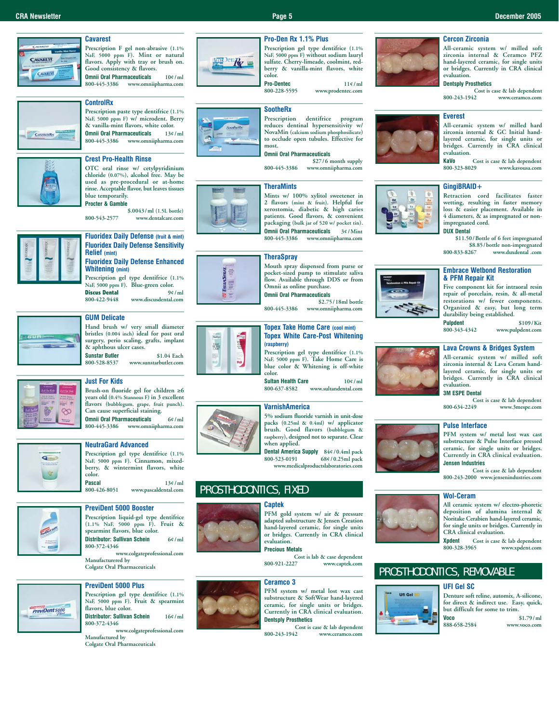### **CRA Newsletter Page 5 December 2005**

# **Cavarest**



**Prescription F gel non-abrasive (1.1%**

**NaF, 5000 ppm F). Mint or natural flavors. Apply with tray or brush on. Good consistency & flavors.**

**Omnii Oral Pharmaceuticals 10¢/ml 800-445-3386 www.omniipharma.com**



# **ControlRx**

**Prescription paste type dentifrice (1.1% NaF, 5000 ppm F) w/ microdent. Berry & vanilla-mint flavors, white color. Omnii Oral Pharmaceuticals 13¢/ml 800-445-3386 www.omniipharma.com**

# **Crest Pro-Health Rinse**

**OTC oral rinse w/ cetylpyridinium chloride (0.07%), alcohol free. May be used as pre-procedural or at-home rinse. Acceptable flavor, but leaves tissues blue temporarily. Procter & Gamble**

**\$.0043/ml (1.5L bottle) 800-543-2577 www.dentalcare.com**



# **Fluoridex Daily Defense (fruit & mint) Fluoridex Daily Defense Sensitivity Relief (mint)**

**Fluoridex Daily Defense Enhanced Whitening (mint) Prescription gel type dentifrice (1.1%**

NaF, 5000 ppm F). Blue-green color.<br>**Discus Dental** 9¢/ **Discus Dental 9¢/ml 800-422-9448 www.discusdental.com**



### **GUM Delicate**

**Hand brush w/ very small diameter bristles (0.004 inch) ideal for post oral surgery, perio scaling, grafts, implant & aphthous ulcer cases. Sunstar Butler** \$1.04 Each<br>800-528-8537 www.sunstarbutler.com

**800-528-8537 www.sunstarbutler.com**



# **Just For Kids**

**Brush-on fluoride gel for children** ≥**6 years old (0.4% Stannous F) in 3 excellent flavors (bubblegum, grape, fruit punch). Can cause superficial staining. Omnii Oral Pharmaceuticals 6¢/ml 800-445-3386 www.omniipharma.com**



# **NeutraGard Advanced**

**Prescription gel type dentifrice (1.1% NaF, 5000 ppm F). Cinnamon, mixedberry, & wintermint flavors, white color. Pascal 13¢/ml**<br>800-426-8051 **www.pascaldental.com 800-426-8051 www.pascaldental.com**



# **PreviDent 5000 Booster Prescription liquid-gel type dentifrice**

**(1.1% NaF, 5000 ppm F). Fruit & spearmint flavors, blue color. Distributor: Sullivan Schein 6¢/ml 800-372-4346**

**www.colgateprofessional.com Manufacturered by Colgate Oral Pharmaceuticals**



# **PreviDent 5000 Plus**

**Prescription gel type dentifrice (1.1% NaF, 5000 ppm F). Fruit & spearmint flavors, blue color. Distributor: Sullivan Schein 16¢/ml 800-372-4346**

**www.colgateprofessional.com Manufactured by** 

**Colgate Oral Pharmaceuticals**



**THERAS**  $\overline{\mathbf{5}}$  =

骤

**Prescription gel type dentifrice (1.1% NaF, 5000 ppm F) without sodium lauryl sulfate. Cherry-limeade, coolmint, redberry & vanilla-mint flavors, white color.**

### **SootheRx Prescription dentifrice program**

**reduces dentinal hypersensitivity w/ NovaMin (calcium sodium phosphosilicate) to occlude open tubules. Effective for most. Omnii Oral Pharmaceuticals**

# **\$27/6 month supply**

**800-445-3386 www.omniipharma.com**

# **TheraMints**



**Mints w/ 100% xylitol sweetener in 2 flavors (mint & fruit). Helpful for xerostomia, diabetic & high caries patients. Good flavors, & convenient packaging (bulk jar of 520 w/ pocket tin). Omnii Oral Pharmaceuticals 3¢/Mint 800-445-3386 www.omniipharma.com**

# **TheraSpray**

**Mouth spray dispensed from purse or pocket-sized pump to stimulate saliva flow. Available through DDS or from Omnii as online purchase. Omnii Oral Pharmaceuticals**

**\$2.75/18ml bottle**

**800-445-3386 www.omniipharma.com**

### **Topex Take Home Care (cool mint) Topex White Care-Post Whitening (raspberry)**

**Prescription gel type dentifrice (1.1% NaF, 5000 ppm F). Take Home Care is blue color & Whitening is off-white color.**

**Sultan Health Care 10¢/ml**<br>800-637-8582 **www.sultandental.com 800-637-8582 www.sultandental.com**

# **VarnishAmerica**

**5% sodium fluoride varnish in unit-dose packs (0.25ml & 0.4ml) w/ applicator brush. Good flavors (bubblegum & raspberry), designed not to separate. Clear when applied.**

**Dental America Supply 84¢/0.4ml pack 800-523-0191 68¢/0.25ml pack www.medicalproductslaboratories.com**

# PROSTHODONTICS, FIXED

# **Captek**



**PFM gold system w/ air & pressure adapted substructure & Jensen Creation hand-layered ceramic, for single units or bridges. Currently in CRA clinical evaluation.**

**Precious Metals**

**Cost is lab & case dependent**<br>800-921-2227 www.captek.com **800-921-2227 www.captek.com**

# **Ceramco 3**



### **PFM system w/ metal lost wax cast substructure & SoftWear hand-layered ceramic, for single units or bridges. Currently in CRA clinical evaluation. Dentsply Prosthetics**

Cost is case & lab dependent<br>800-243-1942 www.ceramco.com **800-243-1942 www.ceramco.com**

# **Cercon Zirconia**

**All-ceramic system w/ milled soft zirconia internal & Ceramco PFZ hand-layered ceramic, for single units or bridges. Currently in CRA clinical evaluation.**

# **Dentsply Prosthetics**

**Cost is case & lab dependent**<br>800-243-1942 www.ceramco.com **800-243-1942 www.ceramco.com**

### **Everest**

**All-ceramic system w/ milled hard zirconia internal & GC Initial handlayered ceramic, for single units or bridges. Currently in CRA clinical evaluation.**

**KaVo Cost is case & lab dependent 800-323-8029 www.kavousa.com**

# **GingiBRAID+**

**Retraction cord facilitates faster wetting, resulting in faster memory loss & easier placement. Available in 4 diameters, & as impregnated or nonimpregnated cord. DUX Dental**

**\$11.50/Bottle of 6 feet impregnated**  \$8.85/bottle non-impregnated<br>800-833-8267 www.duxdental\_com **800-833-8267 www.duxdental .com**

### **Embrace Wetbond Restoration & PFM Repair Kit**

**Five component kit for intraoral resin repair of porcelain, resin, & all-metal restorations w/ fewer components. Organized & easy, but long term durability being established.**

**Pulpdent \$109/Kit 800-343-4342 www.pulpdent.com**

### **Lava Crowns & Bridges System**

**All-ceramic system w/ milled soft zirconia internal & Lava Ceram handlayered ceramic, for single units or bridges. Currently in CRA clinical evaluation.**

**3M ESPE Dental**

### Cost is case & lab dependent<br>800-634-2249<br>gypsys<sup>3</sup>mesne.com **800-634-2249 www.3mespe.com**

# **Pulse Interface**

**PFM system w/ metal lost wax cast substructure & Pulse Interface pressed ceramic, for single units or bridges. Currently in CRA clinical evaluation. Jensen Industries**

**Cost is case & lab dependent 800-243-2000 www.jensenindustries.com**

### **Wol-Ceram**



**Xpdent Cost is case & lab dependent** www.xpdent.com

# PROSTHODONTICS, REMOVABLE

# **UFI Gel SC**



**Denture soft reline, automix, A-silicone, for direct & indirect use. Easy, quick, but difficult for some to trim. Voco** \$1.79/ml<br>888-658-2584 www.voco.com **888-658-2584 www.voco.com**

**Pro-Den Rx 1.1% Plus**